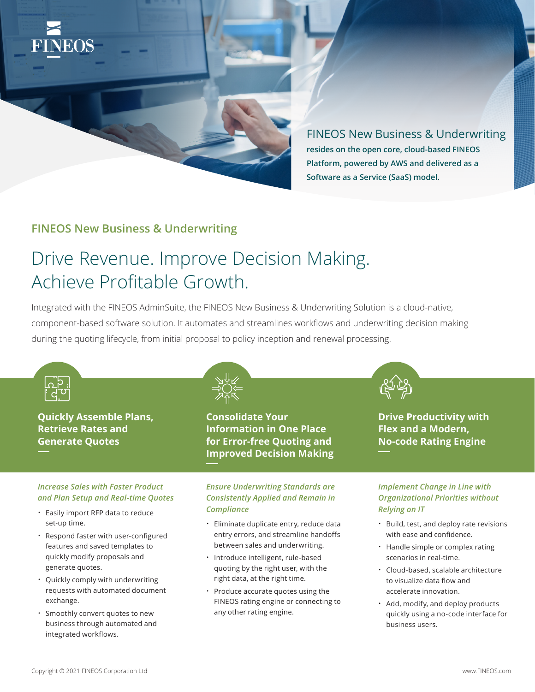

FINEOS New Business & Underwriting **resides on the open core, cloud-based FINEOS Platform, powered by AWS and delivered as a Software as a Service (SaaS) model.**

## **FINEOS New Business & Underwriting**

# Drive Revenue. Improve Decision Making. Achieve Profitable Growth.

Integrated with the FINEOS AdminSuite, the FINEOS New Business & Underwriting Solution is a cloud-native, component-based software solution. It automates and streamlines workflows and underwriting decision making during the quoting lifecycle, from initial proposal to policy inception and renewal processing.



- Cloud-based, scalable architecture to visualize data flow and accelerate innovation.
- Add, modify, and deploy products quickly using a no-code interface for business users.
- quickly modify proposals and generate quotes.
- Quickly comply with underwriting requests with automated document exchange.
- Smoothly convert quotes to new business through automated and integrated workflows.
- Introduce intelligent, rule-based quoting by the right user, with the right data, at the right time.
- Produce accurate quotes using the FINEOS rating engine or connecting to any other rating engine.